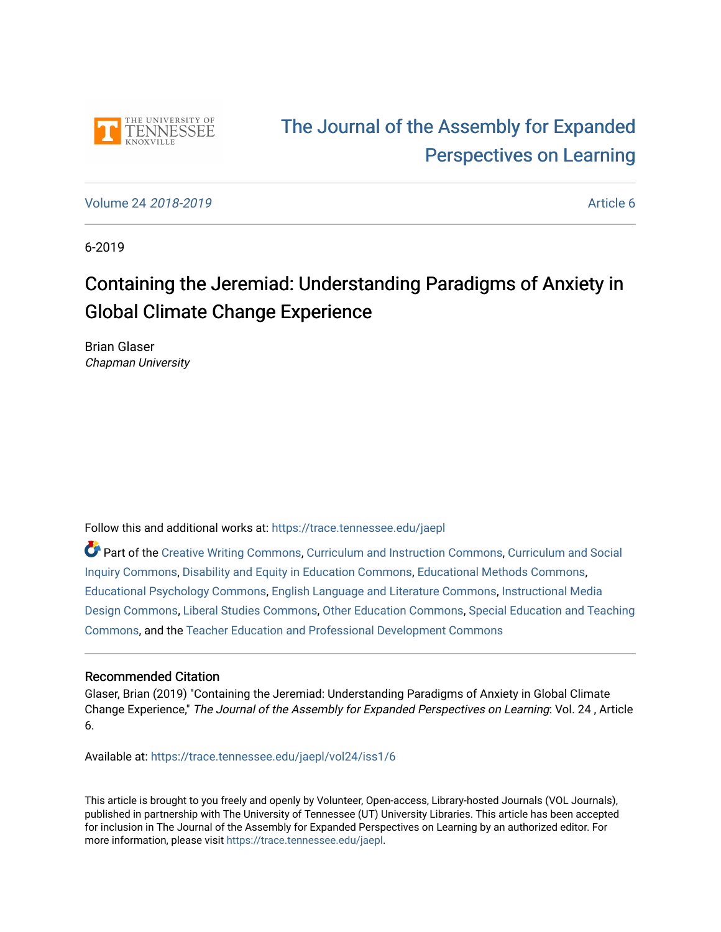

# [The Journal of the Assembly for Expanded](https://trace.tennessee.edu/jaepl)  [Perspectives on Learning](https://trace.tennessee.edu/jaepl)

[Volume 24](https://trace.tennessee.edu/jaepl/vol24) 2018-2019 [Article 6](https://trace.tennessee.edu/jaepl/vol24/iss1/6) 

6-2019

# Containing the Jeremiad: Understanding Paradigms of Anxiety in Global Climate Change Experience

Brian Glaser Chapman University

Follow this and additional works at: [https://trace.tennessee.edu/jaepl](https://trace.tennessee.edu/jaepl?utm_source=trace.tennessee.edu%2Fjaepl%2Fvol24%2Fiss1%2F6&utm_medium=PDF&utm_campaign=PDFCoverPages)

Part of the [Creative Writing Commons](http://network.bepress.com/hgg/discipline/574?utm_source=trace.tennessee.edu%2Fjaepl%2Fvol24%2Fiss1%2F6&utm_medium=PDF&utm_campaign=PDFCoverPages), [Curriculum and Instruction Commons,](http://network.bepress.com/hgg/discipline/786?utm_source=trace.tennessee.edu%2Fjaepl%2Fvol24%2Fiss1%2F6&utm_medium=PDF&utm_campaign=PDFCoverPages) [Curriculum and Social](http://network.bepress.com/hgg/discipline/1038?utm_source=trace.tennessee.edu%2Fjaepl%2Fvol24%2Fiss1%2F6&utm_medium=PDF&utm_campaign=PDFCoverPages)  [Inquiry Commons,](http://network.bepress.com/hgg/discipline/1038?utm_source=trace.tennessee.edu%2Fjaepl%2Fvol24%2Fiss1%2F6&utm_medium=PDF&utm_campaign=PDFCoverPages) [Disability and Equity in Education Commons](http://network.bepress.com/hgg/discipline/1040?utm_source=trace.tennessee.edu%2Fjaepl%2Fvol24%2Fiss1%2F6&utm_medium=PDF&utm_campaign=PDFCoverPages), [Educational Methods Commons](http://network.bepress.com/hgg/discipline/1227?utm_source=trace.tennessee.edu%2Fjaepl%2Fvol24%2Fiss1%2F6&utm_medium=PDF&utm_campaign=PDFCoverPages), [Educational Psychology Commons](http://network.bepress.com/hgg/discipline/798?utm_source=trace.tennessee.edu%2Fjaepl%2Fvol24%2Fiss1%2F6&utm_medium=PDF&utm_campaign=PDFCoverPages), [English Language and Literature Commons,](http://network.bepress.com/hgg/discipline/455?utm_source=trace.tennessee.edu%2Fjaepl%2Fvol24%2Fiss1%2F6&utm_medium=PDF&utm_campaign=PDFCoverPages) [Instructional Media](http://network.bepress.com/hgg/discipline/795?utm_source=trace.tennessee.edu%2Fjaepl%2Fvol24%2Fiss1%2F6&utm_medium=PDF&utm_campaign=PDFCoverPages)  [Design Commons](http://network.bepress.com/hgg/discipline/795?utm_source=trace.tennessee.edu%2Fjaepl%2Fvol24%2Fiss1%2F6&utm_medium=PDF&utm_campaign=PDFCoverPages), [Liberal Studies Commons,](http://network.bepress.com/hgg/discipline/1042?utm_source=trace.tennessee.edu%2Fjaepl%2Fvol24%2Fiss1%2F6&utm_medium=PDF&utm_campaign=PDFCoverPages) [Other Education Commons,](http://network.bepress.com/hgg/discipline/811?utm_source=trace.tennessee.edu%2Fjaepl%2Fvol24%2Fiss1%2F6&utm_medium=PDF&utm_campaign=PDFCoverPages) [Special Education and Teaching](http://network.bepress.com/hgg/discipline/801?utm_source=trace.tennessee.edu%2Fjaepl%2Fvol24%2Fiss1%2F6&utm_medium=PDF&utm_campaign=PDFCoverPages)  [Commons](http://network.bepress.com/hgg/discipline/801?utm_source=trace.tennessee.edu%2Fjaepl%2Fvol24%2Fiss1%2F6&utm_medium=PDF&utm_campaign=PDFCoverPages), and the [Teacher Education and Professional Development Commons](http://network.bepress.com/hgg/discipline/803?utm_source=trace.tennessee.edu%2Fjaepl%2Fvol24%2Fiss1%2F6&utm_medium=PDF&utm_campaign=PDFCoverPages)

## Recommended Citation

Glaser, Brian (2019) "Containing the Jeremiad: Understanding Paradigms of Anxiety in Global Climate Change Experience," The Journal of the Assembly for Expanded Perspectives on Learning: Vol. 24 , Article 6.

Available at: [https://trace.tennessee.edu/jaepl/vol24/iss1/6](https://trace.tennessee.edu/jaepl/vol24/iss1/6?utm_source=trace.tennessee.edu%2Fjaepl%2Fvol24%2Fiss1%2F6&utm_medium=PDF&utm_campaign=PDFCoverPages)

This article is brought to you freely and openly by Volunteer, Open-access, Library-hosted Journals (VOL Journals), published in partnership with The University of Tennessee (UT) University Libraries. This article has been accepted for inclusion in The Journal of the Assembly for Expanded Perspectives on Learning by an authorized editor. For more information, please visit <https://trace.tennessee.edu/jaepl>.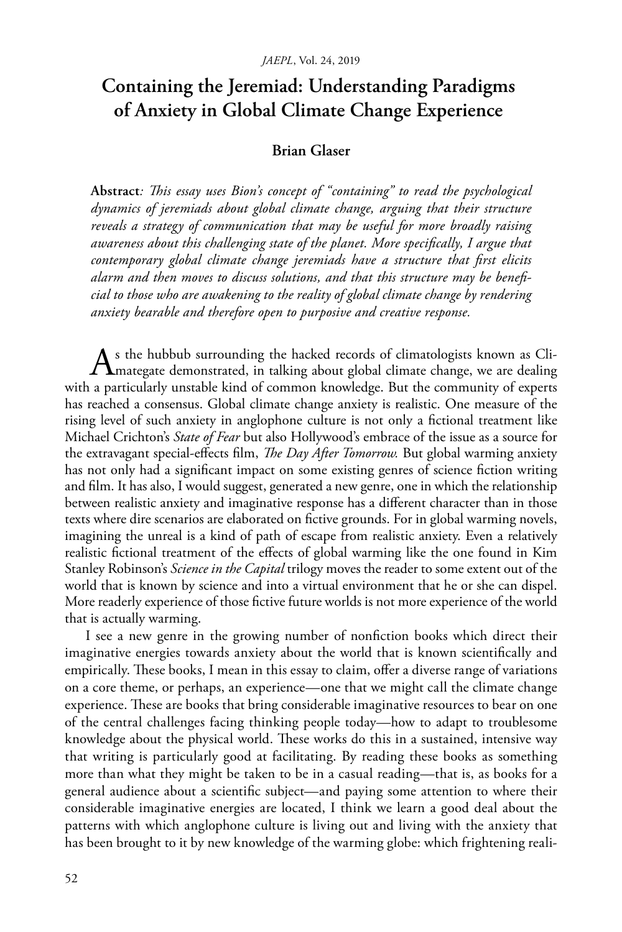## **Containing the Jeremiad: Understanding Paradigms of Anxiety in Global Climate Change Experience**

### **Brian Glaser**

**Abstract***: This essay uses Bion's concept of "containing" to read the psychological dynamics of jeremiads about global climate change, arguing that their structure reveals a strategy of communication that may be useful for more broadly raising awareness about this challenging state of the planet. More specifically, I argue that contemporary global climate change jeremiads have a structure that first elicits alarm and then moves to discuss solutions, and that this structure may be beneficial to those who are awakening to the reality of global climate change by rendering anxiety bearable and therefore open to purposive and creative response.*

As the hubbub surrounding the hacked records of climatologists known as Climategate demonstrated, in talking about global climate change, we are dealing with a particularly unstable kind of common knowledge. But the community of experts has reached a consensus. Global climate change anxiety is realistic. One measure of the rising level of such anxiety in anglophone culture is not only a fictional treatment like Michael Crichton's *State of Fear* but also Hollywood's embrace of the issue as a source for the extravagant special-effects film, *The Day After Tomorrow.* But global warming anxiety has not only had a significant impact on some existing genres of science fiction writing and film. It has also, I would suggest, generated a new genre, one in which the relationship between realistic anxiety and imaginative response has a different character than in those texts where dire scenarios are elaborated on fictive grounds. For in global warming novels, imagining the unreal is a kind of path of escape from realistic anxiety. Even a relatively realistic fictional treatment of the effects of global warming like the one found in Kim Stanley Robinson's *Science in the Capital* trilogy moves the reader to some extent out of the world that is known by science and into a virtual environment that he or she can dispel. More readerly experience of those fictive future worlds is not more experience of the world that is actually warming.

I see a new genre in the growing number of nonfiction books which direct their imaginative energies towards anxiety about the world that is known scientifically and empirically. These books, I mean in this essay to claim, offer a diverse range of variations on a core theme, or perhaps, an experience—one that we might call the climate change experience. These are books that bring considerable imaginative resources to bear on one of the central challenges facing thinking people today—how to adapt to troublesome knowledge about the physical world. These works do this in a sustained, intensive way that writing is particularly good at facilitating. By reading these books as something more than what they might be taken to be in a casual reading—that is, as books for a general audience about a scientific subject—and paying some attention to where their considerable imaginative energies are located, I think we learn a good deal about the patterns with which anglophone culture is living out and living with the anxiety that has been brought to it by new knowledge of the warming globe: which frightening reali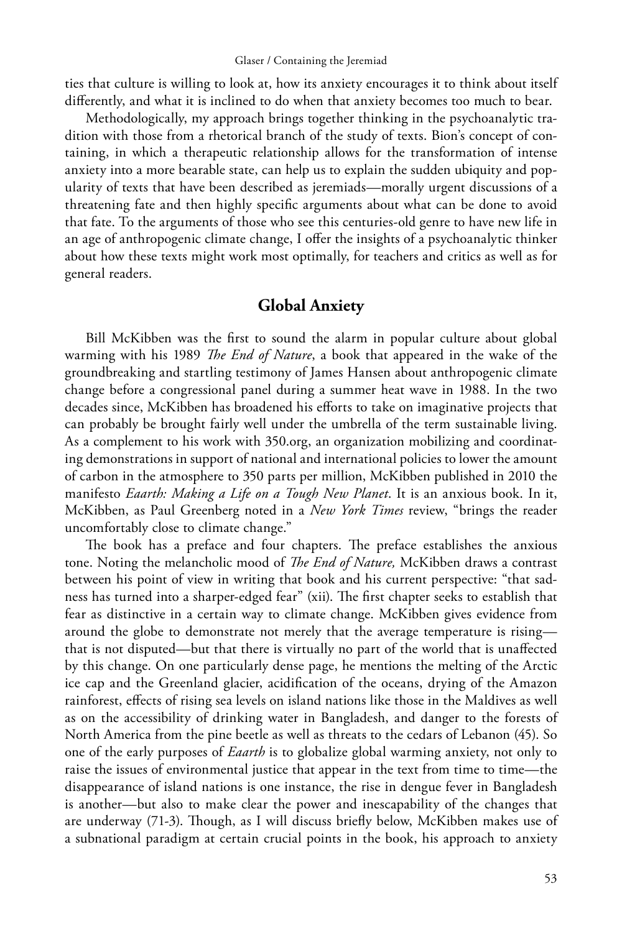ties that culture is willing to look at, how its anxiety encourages it to think about itself differently, and what it is inclined to do when that anxiety becomes too much to bear.

Methodologically, my approach brings together thinking in the psychoanalytic tradition with those from a rhetorical branch of the study of texts. Bion's concept of containing, in which a therapeutic relationship allows for the transformation of intense anxiety into a more bearable state, can help us to explain the sudden ubiquity and popularity of texts that have been described as jeremiads—morally urgent discussions of a threatening fate and then highly specific arguments about what can be done to avoid that fate. To the arguments of those who see this centuries-old genre to have new life in an age of anthropogenic climate change, I offer the insights of a psychoanalytic thinker about how these texts might work most optimally, for teachers and critics as well as for general readers.

### **Global Anxiety**

Bill McKibben was the first to sound the alarm in popular culture about global warming with his 1989 *The End of Nature*, a book that appeared in the wake of the groundbreaking and startling testimony of James Hansen about anthropogenic climate change before a congressional panel during a summer heat wave in 1988. In the two decades since, McKibben has broadened his efforts to take on imaginative projects that can probably be brought fairly well under the umbrella of the term sustainable living. As a complement to his work with 350.org, an organization mobilizing and coordinating demonstrations in support of national and international policies to lower the amount of carbon in the atmosphere to 350 parts per million, McKibben published in 2010 the manifesto *Eaarth: Making a Life on a Tough New Planet*. It is an anxious book. In it, McKibben, as Paul Greenberg noted in a *New York Times* review, "brings the reader uncomfortably close to climate change."

The book has a preface and four chapters. The preface establishes the anxious tone. Noting the melancholic mood of *The End of Nature,* McKibben draws a contrast between his point of view in writing that book and his current perspective: "that sadness has turned into a sharper-edged fear" (xii). The first chapter seeks to establish that fear as distinctive in a certain way to climate change. McKibben gives evidence from around the globe to demonstrate not merely that the average temperature is rising that is not disputed—but that there is virtually no part of the world that is unaffected by this change. On one particularly dense page, he mentions the melting of the Arctic ice cap and the Greenland glacier, acidification of the oceans, drying of the Amazon rainforest, effects of rising sea levels on island nations like those in the Maldives as well as on the accessibility of drinking water in Bangladesh, and danger to the forests of North America from the pine beetle as well as threats to the cedars of Lebanon (45). So one of the early purposes of *Eaarth* is to globalize global warming anxiety, not only to raise the issues of environmental justice that appear in the text from time to time—the disappearance of island nations is one instance, the rise in dengue fever in Bangladesh is another—but also to make clear the power and inescapability of the changes that are underway (71-3). Though, as I will discuss briefly below, McKibben makes use of a subnational paradigm at certain crucial points in the book, his approach to anxiety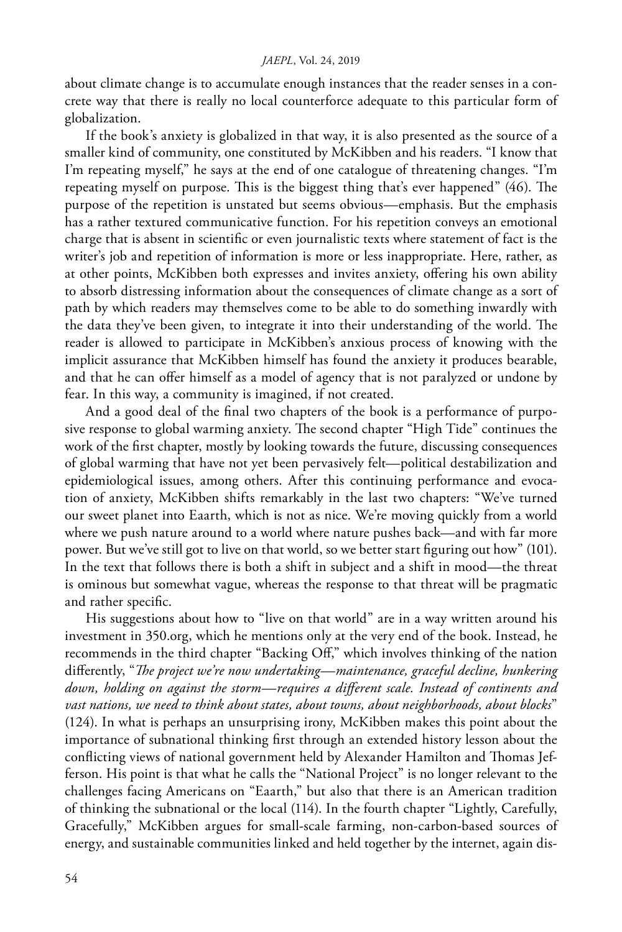about climate change is to accumulate enough instances that the reader senses in a concrete way that there is really no local counterforce adequate to this particular form of globalization.

If the book's anxiety is globalized in that way, it is also presented as the source of a smaller kind of community, one constituted by McKibben and his readers. "I know that I'm repeating myself," he says at the end of one catalogue of threatening changes. "I'm repeating myself on purpose. This is the biggest thing that's ever happened" (46). The purpose of the repetition is unstated but seems obvious—emphasis. But the emphasis has a rather textured communicative function. For his repetition conveys an emotional charge that is absent in scientific or even journalistic texts where statement of fact is the writer's job and repetition of information is more or less inappropriate. Here, rather, as at other points, McKibben both expresses and invites anxiety, offering his own ability to absorb distressing information about the consequences of climate change as a sort of path by which readers may themselves come to be able to do something inwardly with the data they've been given, to integrate it into their understanding of the world. The reader is allowed to participate in McKibben's anxious process of knowing with the implicit assurance that McKibben himself has found the anxiety it produces bearable, and that he can offer himself as a model of agency that is not paralyzed or undone by fear. In this way, a community is imagined, if not created.

And a good deal of the final two chapters of the book is a performance of purposive response to global warming anxiety. The second chapter "High Tide" continues the work of the first chapter, mostly by looking towards the future, discussing consequences of global warming that have not yet been pervasively felt—political destabilization and epidemiological issues, among others. After this continuing performance and evocation of anxiety, McKibben shifts remarkably in the last two chapters: "We've turned our sweet planet into Eaarth, which is not as nice. We're moving quickly from a world where we push nature around to a world where nature pushes back—and with far more power. But we've still got to live on that world, so we better start figuring out how" (101). In the text that follows there is both a shift in subject and a shift in mood—the threat is ominous but somewhat vague, whereas the response to that threat will be pragmatic and rather specific.

His suggestions about how to "live on that world" are in a way written around his investment in 350.org, which he mentions only at the very end of the book. Instead, he recommends in the third chapter "Backing Off," which involves thinking of the nation differently, "*The project we're now undertaking—maintenance, graceful decline, hunkering down, holding on against the storm—requires a different scale. Instead of continents and vast nations, we need to think about states, about towns, about neighborhoods, about blocks*" (124). In what is perhaps an unsurprising irony, McKibben makes this point about the importance of subnational thinking first through an extended history lesson about the conflicting views of national government held by Alexander Hamilton and Thomas Jefferson. His point is that what he calls the "National Project" is no longer relevant to the challenges facing Americans on "Eaarth," but also that there is an American tradition of thinking the subnational or the local (114). In the fourth chapter "Lightly, Carefully, Gracefully," McKibben argues for small-scale farming, non-carbon-based sources of energy, and sustainable communities linked and held together by the internet, again dis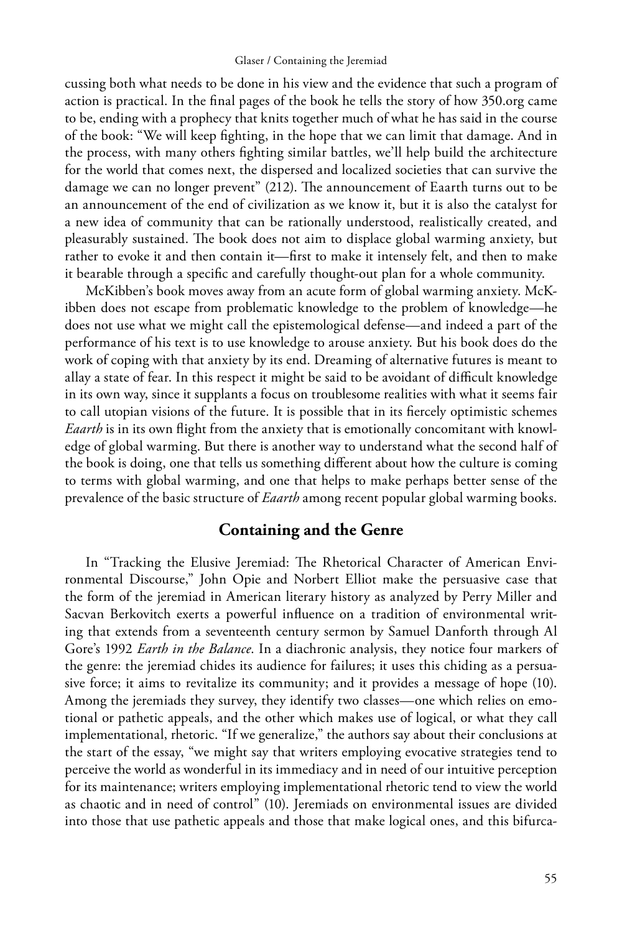cussing both what needs to be done in his view and the evidence that such a program of action is practical. In the final pages of the book he tells the story of how 350.org came to be, ending with a prophecy that knits together much of what he has said in the course of the book: "We will keep fighting, in the hope that we can limit that damage. And in the process, with many others fighting similar battles, we'll help build the architecture for the world that comes next, the dispersed and localized societies that can survive the damage we can no longer prevent" (212). The announcement of Eaarth turns out to be an announcement of the end of civilization as we know it, but it is also the catalyst for a new idea of community that can be rationally understood, realistically created, and pleasurably sustained. The book does not aim to displace global warming anxiety, but rather to evoke it and then contain it—first to make it intensely felt, and then to make it bearable through a specific and carefully thought-out plan for a whole community.

McKibben's book moves away from an acute form of global warming anxiety. McKibben does not escape from problematic knowledge to the problem of knowledge—he does not use what we might call the epistemological defense—and indeed a part of the performance of his text is to use knowledge to arouse anxiety. But his book does do the work of coping with that anxiety by its end. Dreaming of alternative futures is meant to allay a state of fear. In this respect it might be said to be avoidant of difficult knowledge in its own way, since it supplants a focus on troublesome realities with what it seems fair to call utopian visions of the future. It is possible that in its fiercely optimistic schemes *Eaarth* is in its own flight from the anxiety that is emotionally concomitant with knowledge of global warming. But there is another way to understand what the second half of the book is doing, one that tells us something different about how the culture is coming to terms with global warming, and one that helps to make perhaps better sense of the prevalence of the basic structure of *Eaarth* among recent popular global warming books.

## **Containing and the Genre**

In "Tracking the Elusive Jeremiad: The Rhetorical Character of American Environmental Discourse," John Opie and Norbert Elliot make the persuasive case that the form of the jeremiad in American literary history as analyzed by Perry Miller and Sacvan Berkovitch exerts a powerful influence on a tradition of environmental writing that extends from a seventeenth century sermon by Samuel Danforth through Al Gore's 1992 *Earth in the Balance*. In a diachronic analysis, they notice four markers of the genre: the jeremiad chides its audience for failures; it uses this chiding as a persuasive force; it aims to revitalize its community; and it provides a message of hope (10). Among the jeremiads they survey, they identify two classes—one which relies on emotional or pathetic appeals, and the other which makes use of logical, or what they call implementational, rhetoric. "If we generalize," the authors say about their conclusions at the start of the essay, "we might say that writers employing evocative strategies tend to perceive the world as wonderful in its immediacy and in need of our intuitive perception for its maintenance; writers employing implementational rhetoric tend to view the world as chaotic and in need of control" (10). Jeremiads on environmental issues are divided into those that use pathetic appeals and those that make logical ones, and this bifurca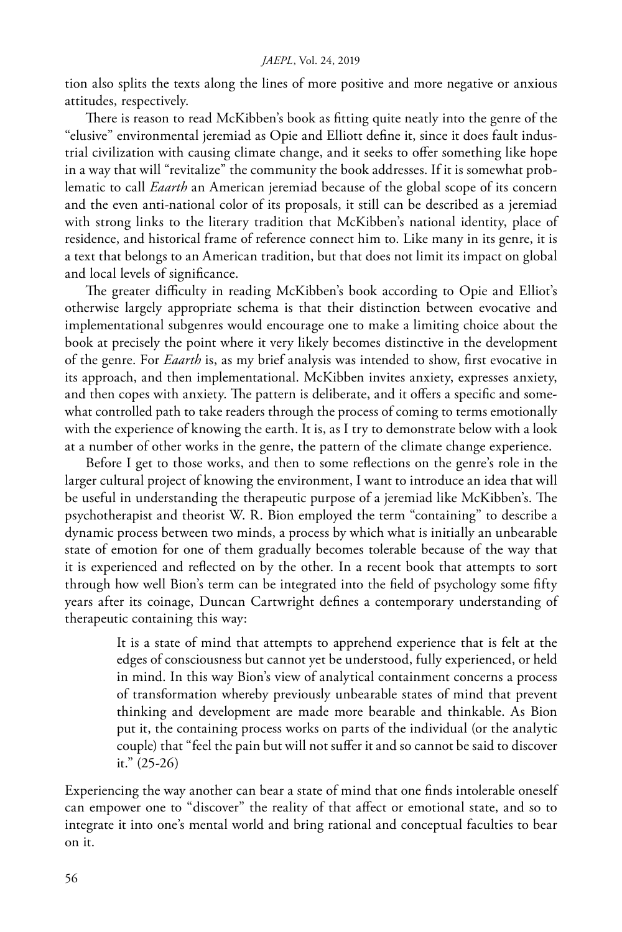tion also splits the texts along the lines of more positive and more negative or anxious attitudes, respectively.

There is reason to read McKibben's book as fitting quite neatly into the genre of the "elusive" environmental jeremiad as Opie and Elliott define it, since it does fault industrial civilization with causing climate change, and it seeks to offer something like hope in a way that will "revitalize" the community the book addresses. If it is somewhat problematic to call *Eaarth* an American jeremiad because of the global scope of its concern and the even anti-national color of its proposals, it still can be described as a jeremiad with strong links to the literary tradition that McKibben's national identity, place of residence, and historical frame of reference connect him to. Like many in its genre, it is a text that belongs to an American tradition, but that does not limit its impact on global and local levels of significance.

The greater difficulty in reading McKibben's book according to Opie and Elliot's otherwise largely appropriate schema is that their distinction between evocative and implementational subgenres would encourage one to make a limiting choice about the book at precisely the point where it very likely becomes distinctive in the development of the genre. For *Eaarth* is, as my brief analysis was intended to show, first evocative in its approach, and then implementational. McKibben invites anxiety, expresses anxiety, and then copes with anxiety. The pattern is deliberate, and it offers a specific and somewhat controlled path to take readers through the process of coming to terms emotionally with the experience of knowing the earth. It is, as I try to demonstrate below with a look at a number of other works in the genre, the pattern of the climate change experience.

Before I get to those works, and then to some reflections on the genre's role in the larger cultural project of knowing the environment, I want to introduce an idea that will be useful in understanding the therapeutic purpose of a jeremiad like McKibben's. The psychotherapist and theorist W. R. Bion employed the term "containing" to describe a dynamic process between two minds, a process by which what is initially an unbearable state of emotion for one of them gradually becomes tolerable because of the way that it is experienced and reflected on by the other. In a recent book that attempts to sort through how well Bion's term can be integrated into the field of psychology some fifty years after its coinage, Duncan Cartwright defines a contemporary understanding of therapeutic containing this way:

> It is a state of mind that attempts to apprehend experience that is felt at the edges of consciousness but cannot yet be understood, fully experienced, or held in mind. In this way Bion's view of analytical containment concerns a process of transformation whereby previously unbearable states of mind that prevent thinking and development are made more bearable and thinkable. As Bion put it, the containing process works on parts of the individual (or the analytic couple) that "feel the pain but will not suffer it and so cannot be said to discover it." (25-26)

Experiencing the way another can bear a state of mind that one finds intolerable oneself can empower one to "discover" the reality of that affect or emotional state, and so to integrate it into one's mental world and bring rational and conceptual faculties to bear on it.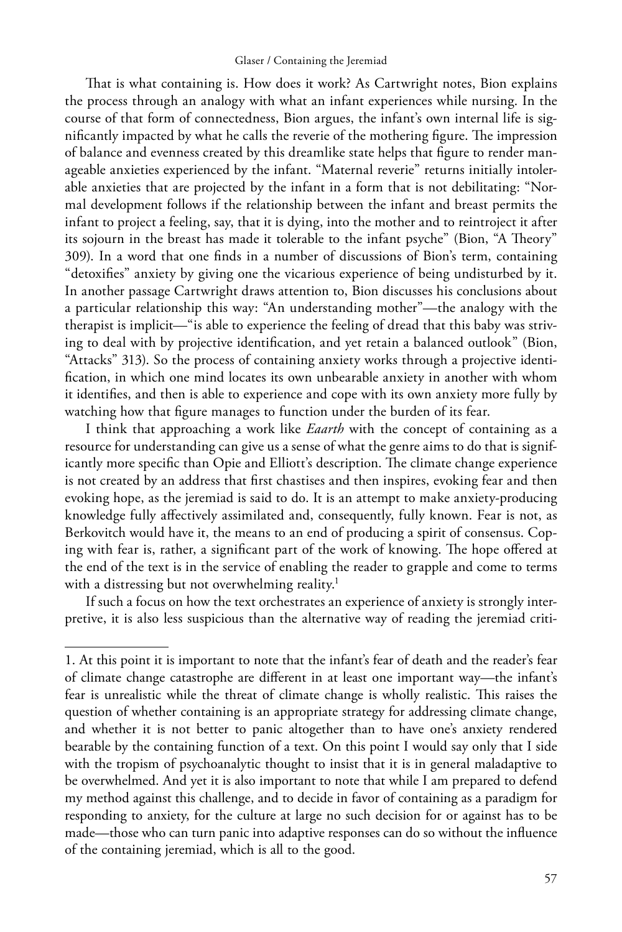#### Glaser / Containing the Jeremiad

That is what containing is. How does it work? As Cartwright notes, Bion explains the process through an analogy with what an infant experiences while nursing. In the course of that form of connectedness, Bion argues, the infant's own internal life is significantly impacted by what he calls the reverie of the mothering figure. The impression of balance and evenness created by this dreamlike state helps that figure to render manageable anxieties experienced by the infant. "Maternal reverie" returns initially intolerable anxieties that are projected by the infant in a form that is not debilitating: "Normal development follows if the relationship between the infant and breast permits the infant to project a feeling, say, that it is dying, into the mother and to reintroject it after its sojourn in the breast has made it tolerable to the infant psyche" (Bion, "A Theory" 309). In a word that one finds in a number of discussions of Bion's term, containing "detoxifies" anxiety by giving one the vicarious experience of being undisturbed by it. In another passage Cartwright draws attention to, Bion discusses his conclusions about a particular relationship this way: "An understanding mother"—the analogy with the therapist is implicit—"is able to experience the feeling of dread that this baby was striving to deal with by projective identification, and yet retain a balanced outlook" (Bion, "Attacks" 313). So the process of containing anxiety works through a projective identification, in which one mind locates its own unbearable anxiety in another with whom it identifies, and then is able to experience and cope with its own anxiety more fully by watching how that figure manages to function under the burden of its fear.

I think that approaching a work like *Eaarth* with the concept of containing as a resource for understanding can give us a sense of what the genre aims to do that is significantly more specific than Opie and Elliott's description. The climate change experience is not created by an address that first chastises and then inspires, evoking fear and then evoking hope, as the jeremiad is said to do. It is an attempt to make anxiety-producing knowledge fully affectively assimilated and, consequently, fully known. Fear is not, as Berkovitch would have it, the means to an end of producing a spirit of consensus. Coping with fear is, rather, a significant part of the work of knowing. The hope offered at the end of the text is in the service of enabling the reader to grapple and come to terms with a distressing but not overwhelming reality.<sup>1</sup>

If such a focus on how the text orchestrates an experience of anxiety is strongly interpretive, it is also less suspicious than the alternative way of reading the jeremiad criti-

<sup>1.</sup> At this point it is important to note that the infant's fear of death and the reader's fear of climate change catastrophe are different in at least one important way—the infant's fear is unrealistic while the threat of climate change is wholly realistic. This raises the question of whether containing is an appropriate strategy for addressing climate change, and whether it is not better to panic altogether than to have one's anxiety rendered bearable by the containing function of a text. On this point I would say only that I side with the tropism of psychoanalytic thought to insist that it is in general maladaptive to be overwhelmed. And yet it is also important to note that while I am prepared to defend my method against this challenge, and to decide in favor of containing as a paradigm for responding to anxiety, for the culture at large no such decision for or against has to be made—those who can turn panic into adaptive responses can do so without the influence of the containing jeremiad, which is all to the good.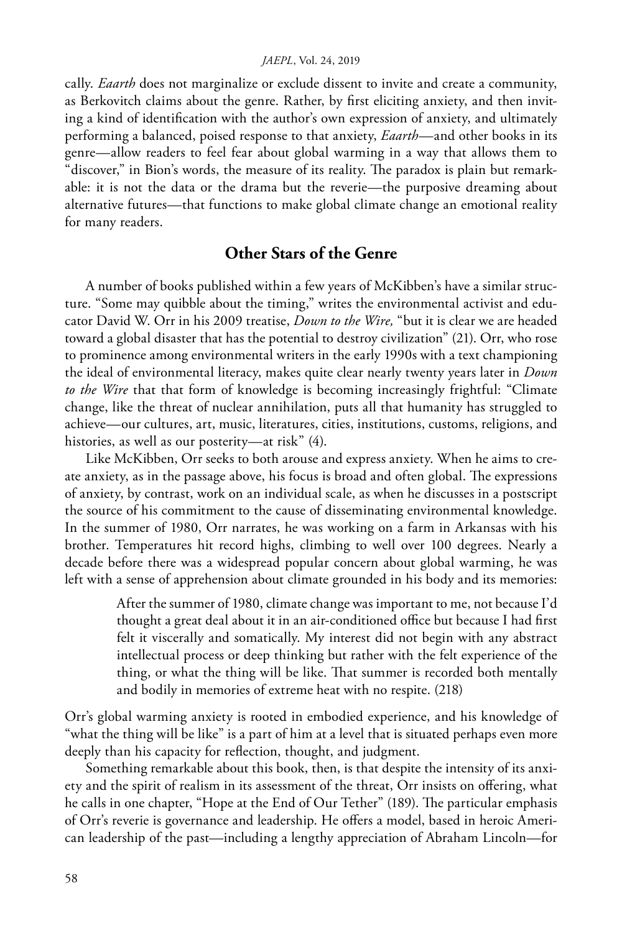cally. *Eaarth* does not marginalize or exclude dissent to invite and create a community, as Berkovitch claims about the genre. Rather, by first eliciting anxiety, and then inviting a kind of identification with the author's own expression of anxiety, and ultimately performing a balanced, poised response to that anxiety, *Eaarth*—and other books in its genre—allow readers to feel fear about global warming in a way that allows them to "discover," in Bion's words, the measure of its reality. The paradox is plain but remarkable: it is not the data or the drama but the reverie—the purposive dreaming about alternative futures—that functions to make global climate change an emotional reality for many readers.

## **Other Stars of the Genre**

A number of books published within a few years of McKibben's have a similar structure. "Some may quibble about the timing," writes the environmental activist and educator David W. Orr in his 2009 treatise, *Down to the Wire,* "but it is clear we are headed toward a global disaster that has the potential to destroy civilization" (21). Orr, who rose to prominence among environmental writers in the early 1990s with a text championing the ideal of environmental literacy, makes quite clear nearly twenty years later in *Down to the Wire* that that form of knowledge is becoming increasingly frightful: "Climate change, like the threat of nuclear annihilation, puts all that humanity has struggled to achieve—our cultures, art, music, literatures, cities, institutions, customs, religions, and histories, as well as our posterity—at risk" (4).

Like McKibben, Orr seeks to both arouse and express anxiety. When he aims to create anxiety, as in the passage above, his focus is broad and often global. The expressions of anxiety, by contrast, work on an individual scale, as when he discusses in a postscript the source of his commitment to the cause of disseminating environmental knowledge. In the summer of 1980, Orr narrates, he was working on a farm in Arkansas with his brother. Temperatures hit record highs, climbing to well over 100 degrees. Nearly a decade before there was a widespread popular concern about global warming, he was left with a sense of apprehension about climate grounded in his body and its memories:

> After the summer of 1980, climate change was important to me, not because I'd thought a great deal about it in an air-conditioned office but because I had first felt it viscerally and somatically. My interest did not begin with any abstract intellectual process or deep thinking but rather with the felt experience of the thing, or what the thing will be like. That summer is recorded both mentally and bodily in memories of extreme heat with no respite. (218)

Orr's global warming anxiety is rooted in embodied experience, and his knowledge of "what the thing will be like" is a part of him at a level that is situated perhaps even more deeply than his capacity for reflection, thought, and judgment.

Something remarkable about this book, then, is that despite the intensity of its anxiety and the spirit of realism in its assessment of the threat, Orr insists on offering, what he calls in one chapter, "Hope at the End of Our Tether" (189). The particular emphasis of Orr's reverie is governance and leadership. He offers a model, based in heroic American leadership of the past—including a lengthy appreciation of Abraham Lincoln—for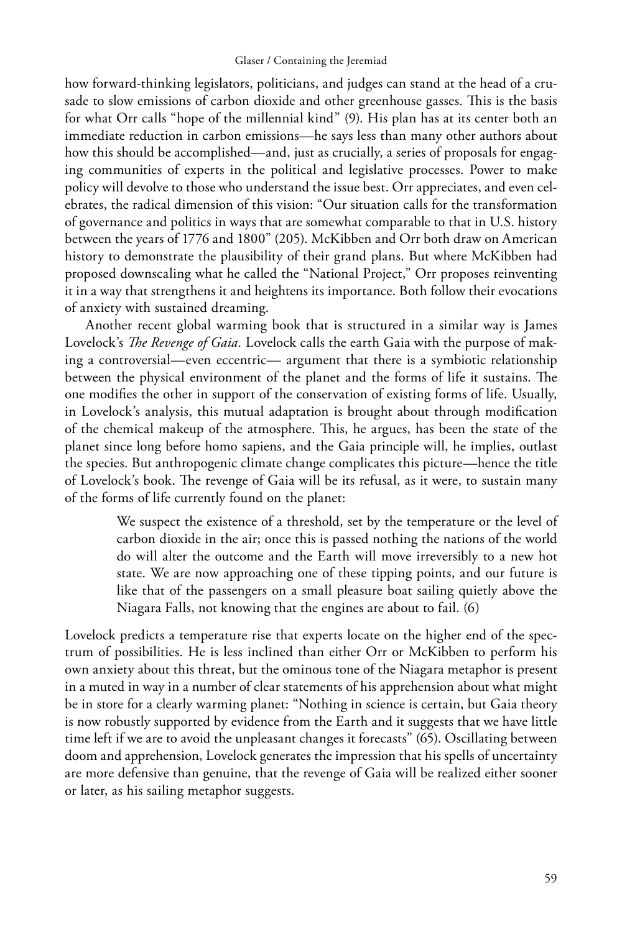how forward-thinking legislators, politicians, and judges can stand at the head of a crusade to slow emissions of carbon dioxide and other greenhouse gasses. This is the basis for what Orr calls "hope of the millennial kind" (9). His plan has at its center both an immediate reduction in carbon emissions—he says less than many other authors about how this should be accomplished—and, just as crucially, a series of proposals for engaging communities of experts in the political and legislative processes. Power to make policy will devolve to those who understand the issue best. Orr appreciates, and even celebrates, the radical dimension of this vision: "Our situation calls for the transformation of governance and politics in ways that are somewhat comparable to that in U.S. history between the years of 1776 and 1800" (205). McKibben and Orr both draw on American history to demonstrate the plausibility of their grand plans. But where McKibben had proposed downscaling what he called the "National Project," Orr proposes reinventing it in a way that strengthens it and heightens its importance. Both follow their evocations of anxiety with sustained dreaming.

Another recent global warming book that is structured in a similar way is James Lovelock's *The Revenge of Gaia.* Lovelock calls the earth Gaia with the purpose of making a controversial—even eccentric— argument that there is a symbiotic relationship between the physical environment of the planet and the forms of life it sustains. The one modifies the other in support of the conservation of existing forms of life. Usually, in Lovelock's analysis, this mutual adaptation is brought about through modification of the chemical makeup of the atmosphere. This, he argues, has been the state of the planet since long before homo sapiens, and the Gaia principle will, he implies, outlast the species. But anthropogenic climate change complicates this picture—hence the title of Lovelock's book. The revenge of Gaia will be its refusal, as it were, to sustain many of the forms of life currently found on the planet:

> We suspect the existence of a threshold, set by the temperature or the level of carbon dioxide in the air; once this is passed nothing the nations of the world do will alter the outcome and the Earth will move irreversibly to a new hot state. We are now approaching one of these tipping points, and our future is like that of the passengers on a small pleasure boat sailing quietly above the Niagara Falls, not knowing that the engines are about to fail. (6)

Lovelock predicts a temperature rise that experts locate on the higher end of the spectrum of possibilities. He is less inclined than either Orr or McKibben to perform his own anxiety about this threat, but the ominous tone of the Niagara metaphor is present in a muted in way in a number of clear statements of his apprehension about what might be in store for a clearly warming planet: "Nothing in science is certain, but Gaia theory is now robustly supported by evidence from the Earth and it suggests that we have little time left if we are to avoid the unpleasant changes it forecasts" (65). Oscillating between doom and apprehension, Lovelock generates the impression that his spells of uncertainty are more defensive than genuine, that the revenge of Gaia will be realized either sooner or later, as his sailing metaphor suggests.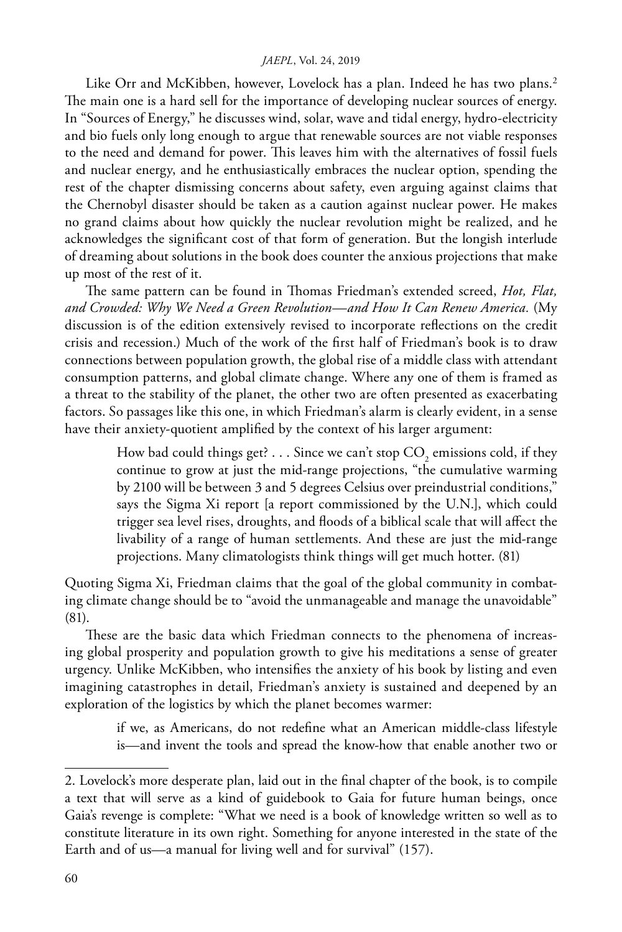Like Orr and McKibben, however, Lovelock has a plan. Indeed he has two plans.<sup>2</sup> The main one is a hard sell for the importance of developing nuclear sources of energy. In "Sources of Energy," he discusses wind, solar, wave and tidal energy, hydro-electricity and bio fuels only long enough to argue that renewable sources are not viable responses to the need and demand for power. This leaves him with the alternatives of fossil fuels and nuclear energy, and he enthusiastically embraces the nuclear option, spending the rest of the chapter dismissing concerns about safety, even arguing against claims that the Chernobyl disaster should be taken as a caution against nuclear power. He makes no grand claims about how quickly the nuclear revolution might be realized, and he acknowledges the significant cost of that form of generation. But the longish interlude of dreaming about solutions in the book does counter the anxious projections that make up most of the rest of it.

The same pattern can be found in Thomas Friedman's extended screed, *Hot, Flat, and Crowded: Why We Need a Green Revolution—and How It Can Renew America.* (My discussion is of the edition extensively revised to incorporate reflections on the credit crisis and recession.) Much of the work of the first half of Friedman's book is to draw connections between population growth, the global rise of a middle class with attendant consumption patterns, and global climate change. Where any one of them is framed as a threat to the stability of the planet, the other two are often presented as exacerbating factors. So passages like this one, in which Friedman's alarm is clearly evident, in a sense have their anxiety-quotient amplified by the context of his larger argument:

> How bad could things get? . . . Since we can't stop  $\mathrm{CO}_2$  emissions cold, if they continue to grow at just the mid-range projections, "the cumulative warming by 2100 will be between 3 and 5 degrees Celsius over preindustrial conditions," says the Sigma Xi report [a report commissioned by the U.N.], which could trigger sea level rises, droughts, and floods of a biblical scale that will affect the livability of a range of human settlements. And these are just the mid-range projections. Many climatologists think things will get much hotter. (81)

Quoting Sigma Xi, Friedman claims that the goal of the global community in combating climate change should be to "avoid the unmanageable and manage the unavoidable" (81).

These are the basic data which Friedman connects to the phenomena of increasing global prosperity and population growth to give his meditations a sense of greater urgency. Unlike McKibben, who intensifies the anxiety of his book by listing and even imagining catastrophes in detail, Friedman's anxiety is sustained and deepened by an exploration of the logistics by which the planet becomes warmer:

> if we, as Americans, do not redefine what an American middle-class lifestyle is—and invent the tools and spread the know-how that enable another two or

<sup>2.</sup> Lovelock's more desperate plan, laid out in the final chapter of the book, is to compile a text that will serve as a kind of guidebook to Gaia for future human beings, once Gaia's revenge is complete: "What we need is a book of knowledge written so well as to constitute literature in its own right. Something for anyone interested in the state of the Earth and of us—a manual for living well and for survival" (157).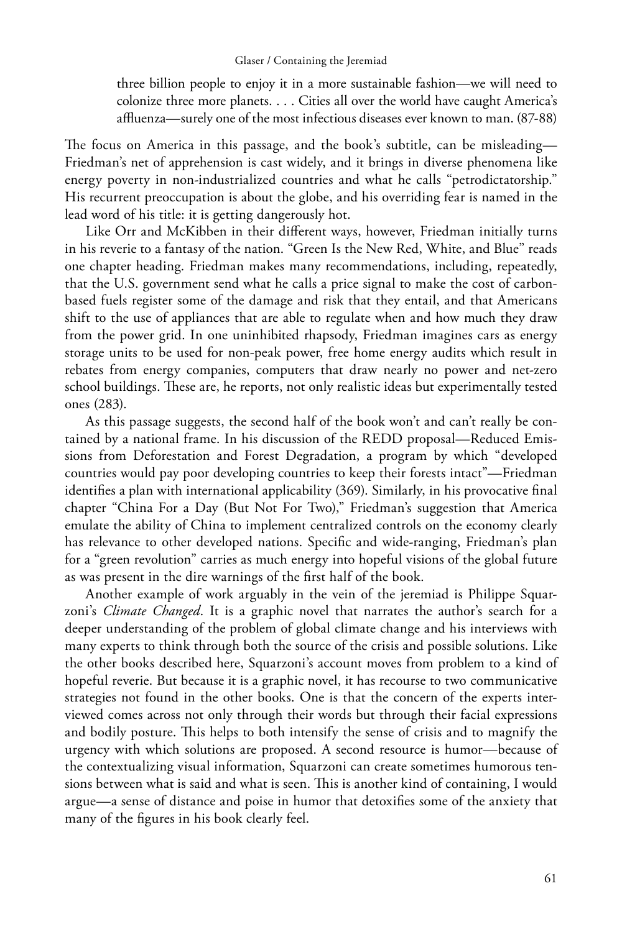three billion people to enjoy it in a more sustainable fashion—we will need to colonize three more planets. . . . Cities all over the world have caught America's affluenza—surely one of the most infectious diseases ever known to man. (87-88)

The focus on America in this passage, and the book's subtitle, can be misleading— Friedman's net of apprehension is cast widely, and it brings in diverse phenomena like energy poverty in non-industrialized countries and what he calls "petrodictatorship." His recurrent preoccupation is about the globe, and his overriding fear is named in the lead word of his title: it is getting dangerously hot.

Like Orr and McKibben in their different ways, however, Friedman initially turns in his reverie to a fantasy of the nation. "Green Is the New Red, White, and Blue" reads one chapter heading. Friedman makes many recommendations, including, repeatedly, that the U.S. government send what he calls a price signal to make the cost of carbonbased fuels register some of the damage and risk that they entail, and that Americans shift to the use of appliances that are able to regulate when and how much they draw from the power grid. In one uninhibited rhapsody, Friedman imagines cars as energy storage units to be used for non-peak power, free home energy audits which result in rebates from energy companies, computers that draw nearly no power and net-zero school buildings. These are, he reports, not only realistic ideas but experimentally tested ones (283).

As this passage suggests, the second half of the book won't and can't really be contained by a national frame. In his discussion of the REDD proposal—Reduced Emissions from Deforestation and Forest Degradation, a program by which "developed countries would pay poor developing countries to keep their forests intact"—Friedman identifies a plan with international applicability (369). Similarly, in his provocative final chapter "China For a Day (But Not For Two)," Friedman's suggestion that America emulate the ability of China to implement centralized controls on the economy clearly has relevance to other developed nations. Specific and wide-ranging, Friedman's plan for a "green revolution" carries as much energy into hopeful visions of the global future as was present in the dire warnings of the first half of the book.

Another example of work arguably in the vein of the jeremiad is Philippe Squarzoni's *Climate Changed*. It is a graphic novel that narrates the author's search for a deeper understanding of the problem of global climate change and his interviews with many experts to think through both the source of the crisis and possible solutions. Like the other books described here, Squarzoni's account moves from problem to a kind of hopeful reverie. But because it is a graphic novel, it has recourse to two communicative strategies not found in the other books. One is that the concern of the experts interviewed comes across not only through their words but through their facial expressions and bodily posture. This helps to both intensify the sense of crisis and to magnify the urgency with which solutions are proposed. A second resource is humor—because of the contextualizing visual information, Squarzoni can create sometimes humorous tensions between what is said and what is seen. This is another kind of containing, I would argue—a sense of distance and poise in humor that detoxifies some of the anxiety that many of the figures in his book clearly feel.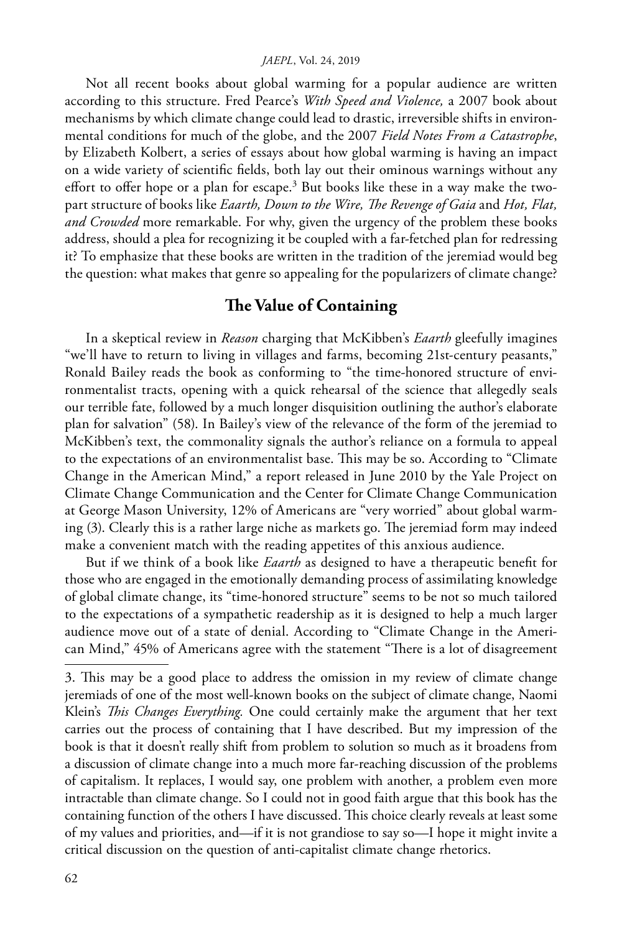Not all recent books about global warming for a popular audience are written according to this structure. Fred Pearce's *With Speed and Violence,* a 2007 book about mechanisms by which climate change could lead to drastic, irreversible shifts in environmental conditions for much of the globe, and the 2007 *Field Notes From a Catastrophe*, by Elizabeth Kolbert, a series of essays about how global warming is having an impact on a wide variety of scientific fields, both lay out their ominous warnings without any effort to offer hope or a plan for escape.<sup>3</sup> But books like these in a way make the twopart structure of books like *Eaarth, Down to the Wire, The Revenge of Gaia* and *Hot, Flat, and Crowded* more remarkable. For why, given the urgency of the problem these books address, should a plea for recognizing it be coupled with a far-fetched plan for redressing it? To emphasize that these books are written in the tradition of the jeremiad would beg the question: what makes that genre so appealing for the popularizers of climate change?

## **The Value of Containing**

In a skeptical review in *Reason* charging that McKibben's *Eaarth* gleefully imagines "we'll have to return to living in villages and farms, becoming 21st-century peasants," Ronald Bailey reads the book as conforming to "the time-honored structure of environmentalist tracts, opening with a quick rehearsal of the science that allegedly seals our terrible fate, followed by a much longer disquisition outlining the author's elaborate plan for salvation" (58). In Bailey's view of the relevance of the form of the jeremiad to McKibben's text, the commonality signals the author's reliance on a formula to appeal to the expectations of an environmentalist base. This may be so. According to "Climate Change in the American Mind," a report released in June 2010 by the Yale Project on Climate Change Communication and the Center for Climate Change Communication at George Mason University, 12% of Americans are "very worried" about global warming (3). Clearly this is a rather large niche as markets go. The jeremiad form may indeed make a convenient match with the reading appetites of this anxious audience.

But if we think of a book like *Eaarth* as designed to have a therapeutic benefit for those who are engaged in the emotionally demanding process of assimilating knowledge of global climate change, its "time-honored structure" seems to be not so much tailored to the expectations of a sympathetic readership as it is designed to help a much larger audience move out of a state of denial. According to "Climate Change in the American Mind," 45% of Americans agree with the statement "There is a lot of disagreement

<sup>3.</sup> This may be a good place to address the omission in my review of climate change jeremiads of one of the most well-known books on the subject of climate change, Naomi Klein's *This Changes Everything.* One could certainly make the argument that her text carries out the process of containing that I have described. But my impression of the book is that it doesn't really shift from problem to solution so much as it broadens from a discussion of climate change into a much more far-reaching discussion of the problems of capitalism. It replaces, I would say, one problem with another, a problem even more intractable than climate change. So I could not in good faith argue that this book has the containing function of the others I have discussed. This choice clearly reveals at least some of my values and priorities, and—if it is not grandiose to say so—I hope it might invite a critical discussion on the question of anti-capitalist climate change rhetorics.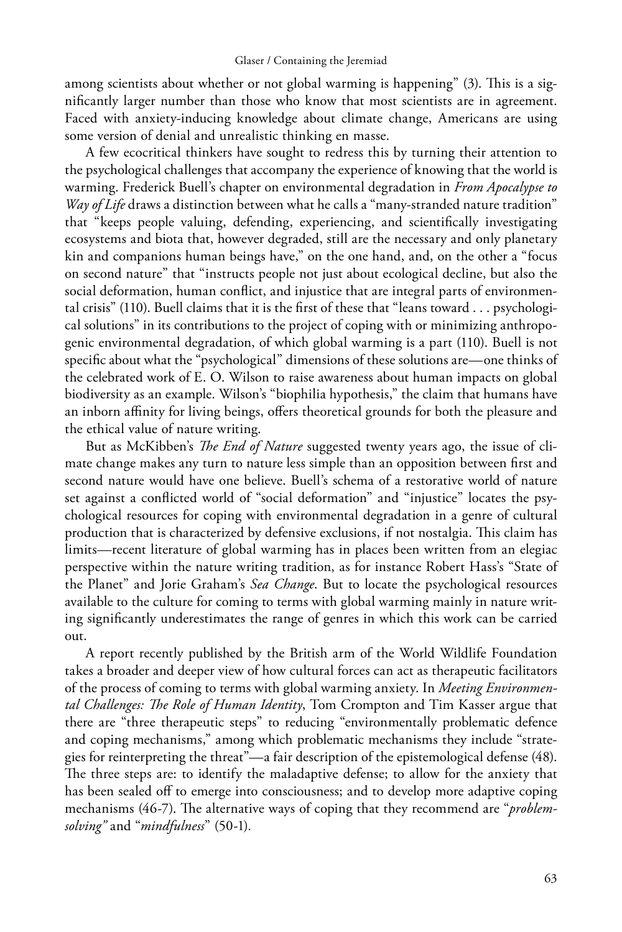among scientists about whether or not global warming is happening" (3). This is a significantly larger number than those who know that most scientists are in agreement. Faced with anxiety-inducing knowledge about climate change, Americans are using some version of denial and unrealistic thinking en masse.

A few ecocritical thinkers have sought to redress this by turning their attention to the psychological challenges that accompany the experience of knowing that the world is warming. Frederick Buell's chapter on environmental degradation in *From Apocalypse to Way of Life* draws a distinction between what he calls a "many-stranded nature tradition" that "keeps people valuing, defending, experiencing, and scientifically investigating ecosystems and biota that, however degraded, still are the necessary and only planetary kin and companions human beings have," on the one hand, and, on the other a "focus on second nature" that "instructs people not just about ecological decline, but also the social deformation, human conflict, and injustice that are integral parts of environmental crisis" (110). Buell claims that it is the first of these that "leans toward . . . psychological solutions" in its contributions to the project of coping with or minimizing anthropogenic environmental degradation, of which global warming is a part (110). Buell is not specific about what the "psychological" dimensions of these solutions are—one thinks of the celebrated work of E. O. Wilson to raise awareness about human impacts on global biodiversity as an example. Wilson's "biophilia hypothesis," the claim that humans have an inborn affinity for living beings, offers theoretical grounds for both the pleasure and the ethical value of nature writing.

But as McKibben's *The End of Nature* suggested twenty years ago, the issue of climate change makes any turn to nature less simple than an opposition between first and second nature would have one believe. Buell's schema of a restorative world of nature set against a conflicted world of "social deformation" and "injustice" locates the psychological resources for coping with environmental degradation in a genre of cultural production that is characterized by defensive exclusions, if not nostalgia. This claim has limits—recent literature of global warming has in places been written from an elegiac perspective within the nature writing tradition, as for instance Robert Hass's "State of the Planet" and Jorie Graham's *Sea Change*. But to locate the psychological resources available to the culture for coming to terms with global warming mainly in nature writing significantly underestimates the range of genres in which this work can be carried out.

A report recently published by the British arm of the World Wildlife Foundation takes a broader and deeper view of how cultural forces can act as therapeutic facilitators of the process of coming to terms with global warming anxiety. In *Meeting Environmental Challenges: The Role of Human Identity*, Tom Crompton and Tim Kasser argue that there are "three therapeutic steps" to reducing "environmentally problematic defence and coping mechanisms," among which problematic mechanisms they include "strategies for reinterpreting the threat"—a fair description of the epistemological defense (48). The three steps are: to identify the maladaptive defense; to allow for the anxiety that has been sealed off to emerge into consciousness; and to develop more adaptive coping mechanisms (46-7). The alternative ways of coping that they recommend are "*problemsolving"* and "*mindfulness*" (50-1).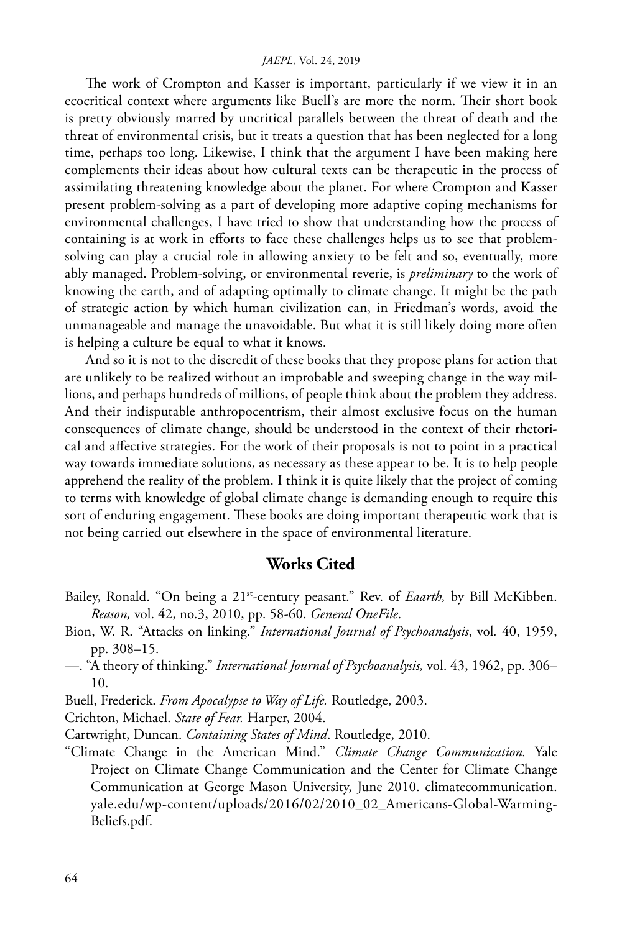The work of Crompton and Kasser is important, particularly if we view it in an ecocritical context where arguments like Buell's are more the norm. Their short book is pretty obviously marred by uncritical parallels between the threat of death and the threat of environmental crisis, but it treats a question that has been neglected for a long time, perhaps too long. Likewise, I think that the argument I have been making here complements their ideas about how cultural texts can be therapeutic in the process of assimilating threatening knowledge about the planet. For where Crompton and Kasser present problem-solving as a part of developing more adaptive coping mechanisms for environmental challenges, I have tried to show that understanding how the process of containing is at work in efforts to face these challenges helps us to see that problemsolving can play a crucial role in allowing anxiety to be felt and so, eventually, more ably managed. Problem-solving, or environmental reverie, is *preliminary* to the work of knowing the earth, and of adapting optimally to climate change. It might be the path of strategic action by which human civilization can, in Friedman's words, avoid the unmanageable and manage the unavoidable. But what it is still likely doing more often is helping a culture be equal to what it knows.

And so it is not to the discredit of these books that they propose plans for action that are unlikely to be realized without an improbable and sweeping change in the way millions, and perhaps hundreds of millions, of people think about the problem they address. And their indisputable anthropocentrism, their almost exclusive focus on the human consequences of climate change, should be understood in the context of their rhetorical and affective strategies. For the work of their proposals is not to point in a practical way towards immediate solutions, as necessary as these appear to be. It is to help people apprehend the reality of the problem. I think it is quite likely that the project of coming to terms with knowledge of global climate change is demanding enough to require this sort of enduring engagement. These books are doing important therapeutic work that is not being carried out elsewhere in the space of environmental literature.

## **Works Cited**

- Bailey, Ronald. "On being a 21<sup>st</sup>-century peasant." Rev. of *Eaarth*, by Bill McKibben. *Reason,* vol. 42, no.3, 2010, pp. 58-60. *General OneFile*.
- Bion, W. R. "Attacks on linking." *International Journal of Psychoanalysis*, vol*.* 40, 1959, pp. 308–15.
- —. "A theory of thinking." *International Journal of Psychoanalysis,* vol. 43, 1962, pp. 306– 10.
- Buell, Frederick. *From Apocalypse to Way of Life.* Routledge, 2003.
- Crichton, Michael. *State of Fear.* Harper, 2004.
- Cartwright, Duncan. *Containing States of Mind*. Routledge, 2010.
- "Climate Change in the American Mind." *Climate Change Communication.* Yale Project on Climate Change Communication and the Center for Climate Change Communication at George Mason University, June 2010. climatecommunication. yale.edu/wp-content/uploads/2016/02/2010\_02\_Americans-Global-Warming-Beliefs.pdf.